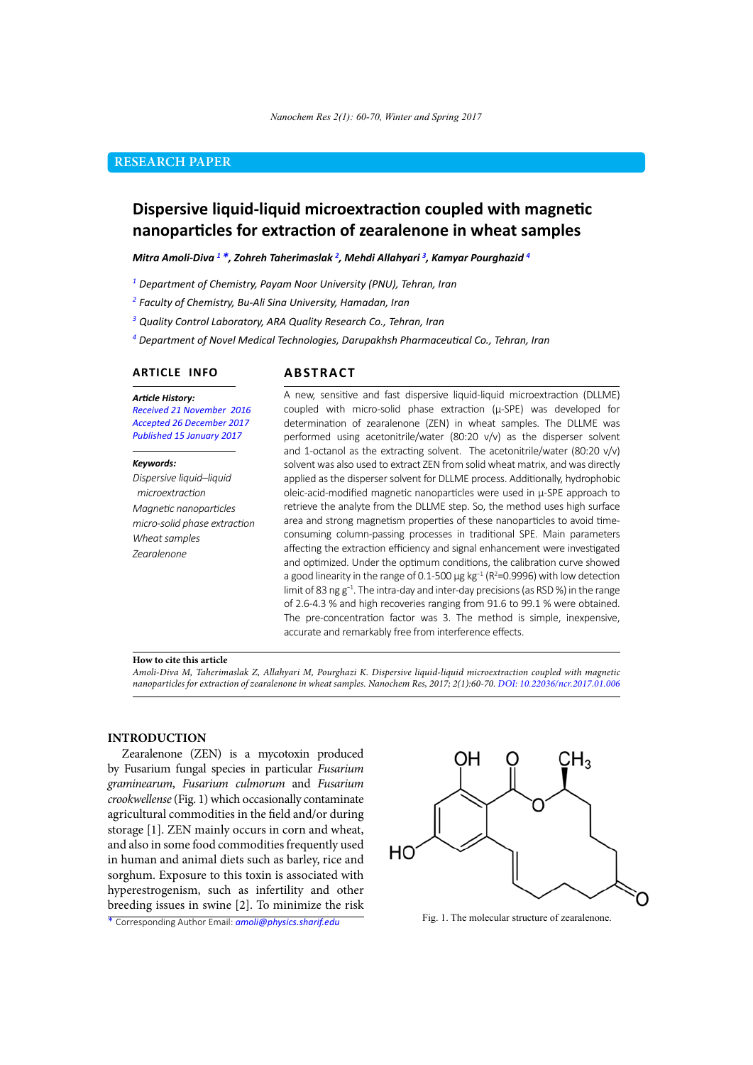# **RESEARCH PAPER**

# **Dispersive liquid-liquid microextraction coupled with magnetic nanoparticles for extraction of zearalenone in wheat samples**

*Mitra Amoli-Diva 1 \*, Zohreh Taherimaslak 2 , Mehdi Allahyari 3 , Kamyar Pourghazid 4*

*<sup>1</sup> Department of Chemistry, Payam Noor University (PNU), Tehran, Iran*

*<sup>2</sup> Faculty of Chemistry, Bu-Ali Sina University, Hamadan, Iran*

*<sup>3</sup> Quality Control Laboratory, ARA Quality Research Co., Tehran, Iran*

*4 Department of Novel Medical Technologies, Darupakhsh Pharmaceutical Co., Tehran, Iran*

### **ARTICLE INFO**

# **ABSTRACT**

*Article History: Received 21 November 2016 Accepted 26 December 2017 Published 15 January 2017*

#### *Keywords:*

*Dispersive liquid–liquid microextraction Magnetic nanoparticles micro-solid phase extraction Wheat samples Zearalenone* 

A new, sensitive and fast dispersive liquid-liquid microextraction (DLLME) coupled with micro-solid phase extraction (μ-SPE) was developed for determination of zearalenone (ZEN) in wheat samples. The DLLME was performed using acetonitrile/water (80:20 v/v) as the disperser solvent and 1-octanol as the extracting solvent. The acetonitrile/water (80:20 v/v) solvent was also used to extract ZEN from solid wheat matrix, and was directly applied as the disperser solvent for DLLME process. Additionally, hydrophobic oleic-acid-modified magnetic nanoparticles were used in μ-SPE approach to retrieve the analyte from the DLLME step. So, the method uses high surface area and strong magnetism properties of these nanoparticles to avoid timeconsuming column-passing processes in traditional SPE. Main parameters affecting the extraction efficiency and signal enhancement were investigated and optimized. Under the optimum conditions, the calibration curve showed a good linearity in the range of 0.1-500  $\mu$ g kg<sup>-1</sup> (R<sup>2</sup>=0.9996) with low detection limit of 83 ng g−1. The intra-day and inter-day precisions (as RSD %) in the range of 2.6-4.3 % and high recoveries ranging from 91.6 to 99.1 % were obtained. The pre-concentration factor was 3. The method is simple, inexpensive, accurate and remarkably free from interference effects.

#### **How to cite this article**

*Amoli-Diva M, Taherimaslak Z, Allahyari M, Pourghazi K. Dispersive liquid-liquid microextraction coupled with magnetic nanoparticles for extraction of zearalenone in wheat samples. Nanochem Res, 2017; 2(1):60-70. DOI: 10.22036/ncr.2017.01.006*

## **INTRODUCTION**

Zearalenone (ZEN) is a mycotoxin produced by Fusarium fungal species in particular *Fusarium graminearum*, *Fusarium culmorum* and *Fusarium crookwellense* (Fig. 1) which occasionally contaminate agricultural commodities in the field and/or during storage [1]. ZEN mainly occurs in corn and wheat, and also in some food commodities frequently used in human and animal diets such as barley, rice and sorghum. Exposure to this toxin is associated with hyperestrogenism, such as infertility and other breeding issues in swine [2]. To minimize the risk

\* Corresponding Author Email: *amoli@physics.sharif.edu*



Fig. 1. The molecular structure of zearalenone.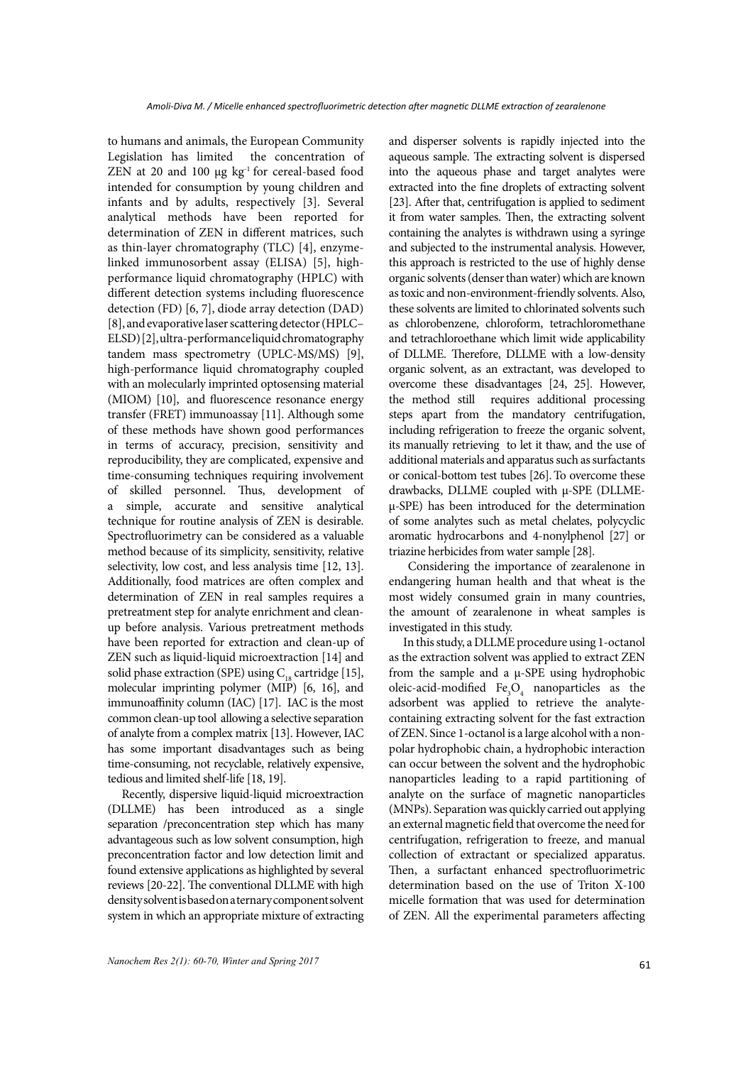to humans and animals, the European Community Legislation has limited the concentration of ZEN at 20 and 100  $\mu$ g kg<sup>-1</sup> for cereal-based food intended for consumption by young children and infants and by adults, respectively [3]. Several analytical methods have been reported for determination of ZEN in different matrices, such as thin-layer chromatography (TLC) [4], enzymelinked immunosorbent assay (ELISA) [5], highperformance liquid chromatography (HPLC) with different detection systems including fluorescence detection (FD) [6, 7], diode array detection (DAD) [8], and evaporative laser scattering detector (HPLC– ELSD) [2], ultra-performance liquid chromatography tandem mass spectrometry (UPLC-MS/MS) [9], high-performance liquid chromatography coupled with an molecularly imprinted optosensing material (MIOM) [10], and fluorescence resonance energy transfer (FRET) immunoassay [11]. Although some of these methods have shown good performances in terms of accuracy, precision, sensitivity and reproducibility, they are complicated, expensive and time-consuming techniques requiring involvement of skilled personnel. Thus, development of a simple, accurate and sensitive analytical technique for routine analysis of ZEN is desirable. Spectrofluorimetry can be considered as a valuable method because of its simplicity, sensitivity, relative selectivity, low cost, and less analysis time [12, 13]. Additionally, food matrices are often complex and determination of ZEN in real samples requires a pretreatment step for analyte enrichment and cleanup before analysis. Various pretreatment methods have been reported for extraction and clean-up of ZEN such as liquid-liquid microextraction [14] and solid phase extraction (SPE) using  $C_{18}$  cartridge [15], molecular imprinting polymer (MIP) [6, 16], and immunoaffinity column (IAC) [17]. IAC is the most common clean-up tool allowing a selective separation of analyte from a complex matrix [13]. However, IAC has some important disadvantages such as being time-consuming, not recyclable, relatively expensive, tedious and limited shelf-life [18, 19].

Recently, dispersive liquid-liquid microextraction (DLLME) has been introduced as a single separation /preconcentration step which has many advantageous such as low solvent consumption, high preconcentration factor and low detection limit and found extensive applications as highlighted by several reviews [20-22]. The conventional DLLME with high density solvent is based on a ternary component solvent system in which an appropriate mixture of extracting

and disperser solvents is rapidly injected into the aqueous sample. The extracting solvent is dispersed into the aqueous phase and target analytes were extracted into the fine droplets of extracting solvent [23]. After that, centrifugation is applied to sediment it from water samples. Then, the extracting solvent containing the analytes is withdrawn using a syringe and subjected to the instrumental analysis. However, this approach is restricted to the use of highly dense organic solvents (denser than water) which are known as toxic and non-environment-friendly solvents. Also, these solvents are limited to chlorinated solvents such as chlorobenzene, chloroform, tetrachloromethane and tetrachloroethane which limit wide applicability of DLLME. Therefore, DLLME with a low-density organic solvent, as an extractant, was developed to overcome these disadvantages [24, 25]. However, the method still requires additional processing steps apart from the mandatory centrifugation, including refrigeration to freeze the organic solvent, its manually retrieving to let it thaw, and the use of additional materials and apparatus such as surfactants or conical-bottom test tubes [26].To overcome these drawbacks, DLLME coupled with µ-SPE (DLLMEµ-SPE) has been introduced for the determination of some analytes such as metal chelates, polycyclic aromatic hydrocarbons and 4-nonylphenol [27] or triazine herbicides from water sample [28].

 Considering the importance of zearalenone in endangering human health and that wheat is the most widely consumed grain in many countries, the amount of zearalenone in wheat samples is investigated in this study.

In this study, a DLLME procedure using 1-octanol as the extraction solvent was applied to extract ZEN from the sample and a µ-SPE using hydrophobic oleic-acid-modified  $Fe<sub>3</sub>O<sub>4</sub>$  nanoparticles as the adsorbent was applied to retrieve the analytecontaining extracting solvent for the fast extraction of ZEN. Since 1-octanol is a large alcohol with a nonpolar hydrophobic chain, a hydrophobic interaction can occur between the solvent and the hydrophobic nanoparticles leading to a rapid partitioning of analyte on the surface of magnetic nanoparticles (MNPs). Separation was quickly carried out applying an external magnetic field that overcome the need for centrifugation, refrigeration to freeze, and manual collection of extractant or specialized apparatus. Then, a surfactant enhanced spectrofluorimetric determination based on the use of Triton X-100 micelle formation that was used for determination of ZEN. All the experimental parameters affecting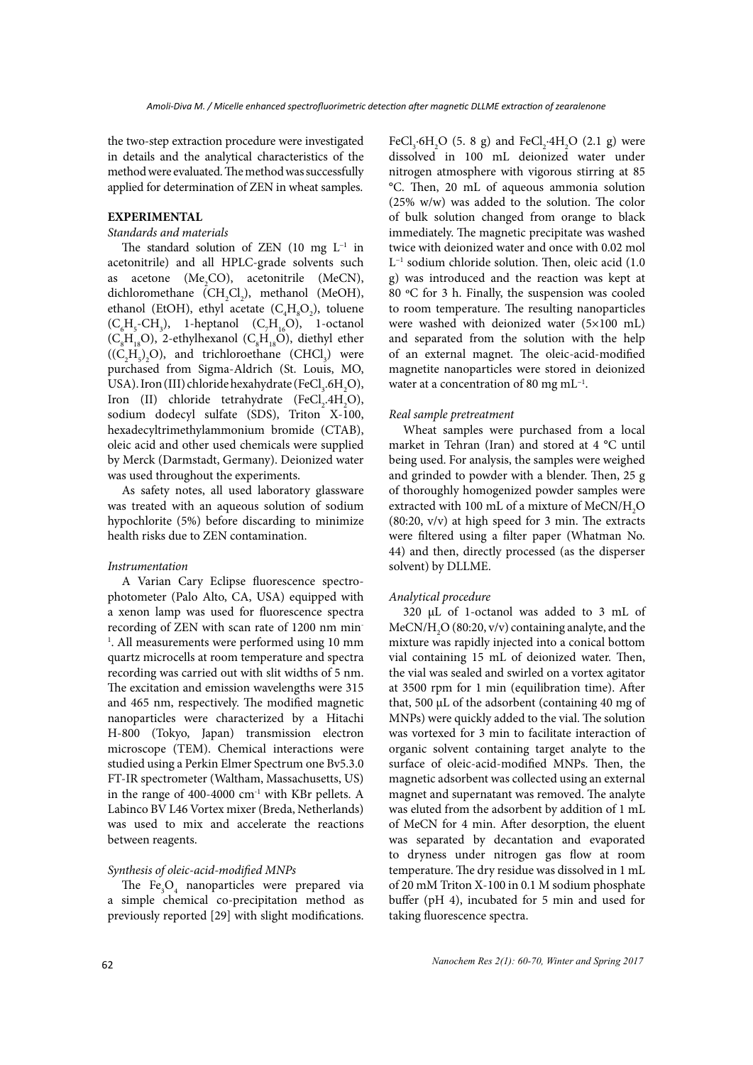the two-step extraction procedure were investigated in details and the analytical characteristics of the method were evaluated. The method was successfully applied for determination of ZEN in wheat samples.

# **EXPERIMENTAL**

# *Standards and materials*

The standard solution of ZEN (10 mg L−1 in acetonitrile) and all HPLC-grade solvents such as acetone ( $Me<sub>2</sub>CO$ ), acetonitrile (MeCN), dichloromethane  $(CH_2Cl_2)$ , methanol (MeOH), ethanol (EtOH), ethyl acetate  $(C_4H_8O_2)$ , toluene  $(C_6H_5\text{-}CH_3)$ , 1-heptanol  $(C_7H_{16}O)$ , 1-octanol  $(C_8H_{18}O)$ , 2-ethylhexanol  $(C_8H_{18}O)$ , diethyl ether  $((C_2H_5)_2O)$ , and trichloroethane  $(CHCl_3)$  were purchased from Sigma-Aldrich (St. Louis, MO, USA). Iron (III) chloride hexahydrate (FeCl<sub>3</sub>.6H<sub>2</sub>O), Iron (II) chloride tetrahydrate (FeCl<sub>2</sub>.4H<sub>2</sub>O), sodium dodecyl sulfate (SDS), Triton X-100, hexadecyltrimethylammonium bromide (CTAB), oleic acid and other used chemicals were supplied by Merck (Darmstadt, Germany). Deionized water was used throughout the experiments.

As safety notes, all used laboratory glassware was treated with an aqueous solution of sodium hypochlorite (5%) before discarding to minimize health risks due to ZEN contamination.

#### *Instrumentation*

A Varian Cary Eclipse fluorescence spectrophotometer (Palo Alto, CA, USA) equipped with a xenon lamp was used for fluorescence spectra recording of ZEN with scan rate of 1200 nm min-<sup>1</sup>. All measurements were performed using 10 mm quartz microcells at room temperature and spectra recording was carried out with slit widths of 5 nm. The excitation and emission wavelengths were 315 and 465 nm, respectively. The modified magnetic nanoparticles were characterized by a Hitachi H-800 (Tokyo, Japan) transmission electron microscope (TEM). Chemical interactions were studied using a Perkin Elmer Spectrum one Bv5.3.0 FT-IR spectrometer (Waltham, Massachusetts, US) in the range of 400-4000 cm-1 with KBr pellets. A Labinco BV L46 Vortex mixer (Breda, Netherlands) was used to mix and accelerate the reactions between reagents.

### *Synthesis of oleic-acid-modified MNPs*

The  $Fe<sub>3</sub>O<sub>4</sub>$  nanoparticles were prepared via a simple chemical co-precipitation method as previously reported [29] with slight modifications.

FeCl<sub>3</sub>.6H<sub>2</sub>O (5. 8 g) and FeCl<sub>2</sub>.4H<sub>2</sub>O (2.1 g) were dissolved in 100 mL deionized water under nitrogen atmosphere with vigorous stirring at 85 °C. Then, 20 mL of aqueous ammonia solution (25% w/w) was added to the solution. The color of bulk solution changed from orange to black immediately. The magnetic precipitate was washed twice with deionized water and once with 0.02 mol L−1 sodium chloride solution. Then, oleic acid (1.0 g) was introduced and the reaction was kept at 80 ºC for 3 h. Finally, the suspension was cooled to room temperature. The resulting nanoparticles were washed with deionized water (5×100 mL) and separated from the solution with the help of an external magnet. The oleic-acid-modified magnetite nanoparticles were stored in deionized water at a concentration of 80 mg mL−1.

### *Real sample pretreatment*

Wheat samples were purchased from a local market in Tehran (Iran) and stored at 4 °C until being used. For analysis, the samples were weighed and grinded to powder with a blender. Then, 25 g of thoroughly homogenized powder samples were extracted with 100 mL of a mixture of MeCN/ $\rm H_2O$ (80:20, v/v) at high speed for 3 min. The extracts were filtered using a filter paper (Whatman No. 44) and then, directly processed (as the disperser solvent) by DLLME.

### *Analytical procedure*

320 µL of 1-octanol was added to 3 mL of MeCN/H<sub>2</sub>O (80:20, v/v) containing analyte, and the mixture was rapidly injected into a conical bottom vial containing 15 mL of deionized water. Then, the vial was sealed and swirled on a vortex agitator at 3500 rpm for 1 min (equilibration time). After that, 500  $\mu$ L of the adsorbent (containing 40 mg of MNPs) were quickly added to the vial. The solution was vortexed for 3 min to facilitate interaction of organic solvent containing target analyte to the surface of oleic-acid-modified MNPs. Then, the magnetic adsorbent was collected using an external magnet and supernatant was removed. The analyte was eluted from the adsorbent by addition of 1 mL of MeCN for 4 min. After desorption, the eluent was separated by decantation and evaporated to dryness under nitrogen gas flow at room temperature. The dry residue was dissolved in 1 mL of 20 mM Triton X-100 in 0.1 M sodium phosphate buffer (pH 4), incubated for 5 min and used for taking fluorescence spectra.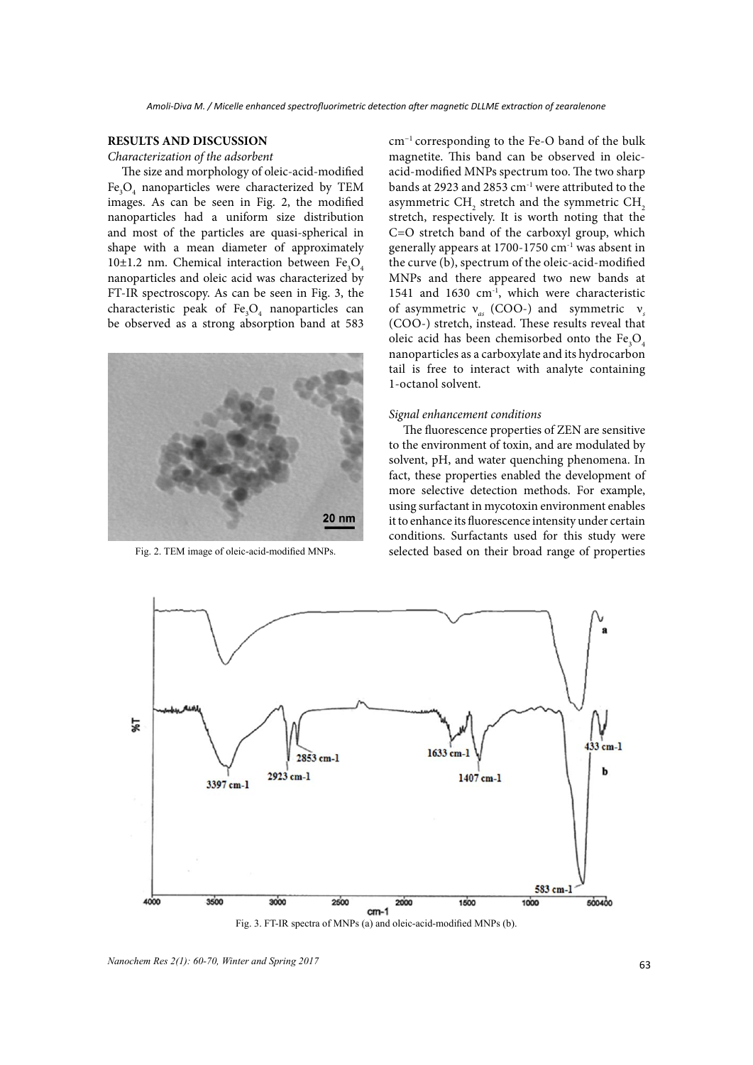### **RESULTS AND DISCUSSION**

*Characterization of the adsorbent*

The size and morphology of oleic-acid-modified Fe3 O4 nanoparticles were characterized by TEM images. As can be seen in Fig. 2, the modified nanoparticles had a uniform size distribution and most of the particles are quasi-spherical in shape with a mean diameter of approximately 10 $\pm$ 1.2 nm. Chemical interaction between Fe<sub>3</sub>O<sub>4</sub> nanoparticles and oleic acid was characterized by FT-IR spectroscopy. As can be seen in Fig. 3, the characteristic peak of  $\text{Fe}_3\text{O}_4$  nanoparticles can be observed as a strong absorption band at 583



Fig. 2. TEM image of oleic-acid-modified MNPs.

cm−1 corresponding to the Fe-O band of the bulk magnetite. This band can be observed in oleicacid-modified MNPs spectrum too. The two sharp bands at 2923 and 2853 cm<sup>-1</sup> were attributed to the asymmetric  $\text{CH}_\text{2}$  stretch and the symmetric  $\text{CH}_\text{2}$ stretch, respectively. It is worth noting that the C=O stretch band of the carboxyl group, which generally appears at  $1700-1750$  cm<sup>-1</sup> was absent in the curve (b), spectrum of the oleic-acid-modified MNPs and there appeared two new bands at 1541 and 1630 cm<sup>-1</sup>, which were characteristic of asymmetric ν*as* (COO-) and symmetric ν*<sup>s</sup>* (COO-) stretch, instead. These results reveal that oleic acid has been chemisorbed onto the  $Fe<sub>3</sub>O<sub>4</sub>$ nanoparticles as a carboxylate and its hydrocarbon tail is free to interact with analyte containing 1-octanol solvent.

#### *Signal enhancement conditions*

The fluorescence properties of ZEN are sensitive to the environment of toxin, and are modulated by solvent, pH, and water quenching phenomena. In fact, these properties enabled the development of more selective detection methods. For example, using surfactant in mycotoxin environment enables it to enhance its fluorescence intensity under certain conditions. Surfactants used for this study were selected based on their broad range of properties



Fig. 3. FT-IR spectra of MNPs (a) and oleic-acid-modified MNPs (b).

<sup>63</sup> *Nanochem Res 2(1): 60-70, Winter and Spring 2017*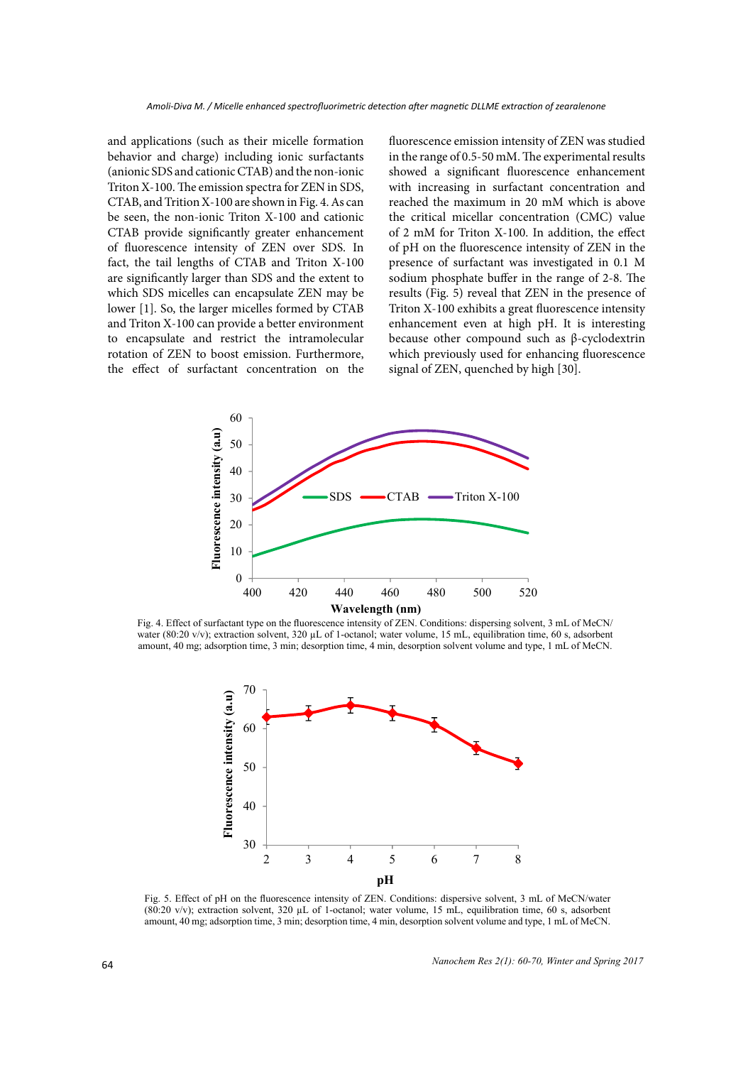and applications (such as their micelle formation behavior and charge) including ionic surfactants (anionic SDS and cationic CTAB) and the non-ionic Triton X-100. The emission spectra for ZEN in SDS, CTAB, and Trition X-100 are shown in Fig. 4. As can be seen, the non-ionic Triton X-100 and cationic CTAB provide significantly greater enhancement of fluorescence intensity of ZEN over SDS. In fact, the tail lengths of CTAB and Triton X-100 are significantly larger than SDS and the extent to which SDS micelles can encapsulate ZEN may be lower [1]. So, the larger micelles formed by CTAB and Triton X-100 can provide a better environment to encapsulate and restrict the intramolecular rotation of ZEN to boost emission. Furthermore, the effect of surfactant concentration on the fluorescence emission intensity of ZEN was studied in the range of 0.5-50 mM. The experimental results showed a significant fluorescence enhancement with increasing in surfactant concentration and reached the maximum in 20 mM which is above the critical micellar concentration (CMC) value of 2 mM for Triton X-100. In addition, the effect of pH on the fluorescence intensity of ZEN in the presence of surfactant was investigated in 0.1 M sodium phosphate buffer in the range of 2-8. The results (Fig. 5) reveal that ZEN in the presence of Triton X-100 exhibits a great fluorescence intensity enhancement even at high pH. It is interesting because other compound such as β-cyclodextrin which previously used for enhancing fluorescence signal of ZEN, quenched by high [30].



**WAVELGEE (ITHERET)**<br>Fig. 4. Effect of surfactant type on the fluorescence intensity of ZEN. Conditions: dispersing solvent, 3 mL of MeCN/ water (80:20 v/v); extraction solvent, 320 µL of 1-octanol; water volume, 15 mL, equilibration time, 60 s, adsorbent amount, 40 mg; adsorption time, 3 min; desorption time, 4 min, desorption solvent volume and type, 1 mL of MeCN.



**Fig. 5**  amount, 40 mg; adsorption time, 3 min; desorption time, 4 min, desorption solvent volume and type, 1 mL of MeCN.Fig. 5. Effect of pH on the fluorescence intensity of ZEN. Conditions: dispersive solvent, 3 mL of MeCN/water (80:20 v/v); extraction solvent, 320 µL of 1-octanol; water volume, 15 mL, equilibration time, 60 s, adsorbent

*Nanochem Res 2(1): 60-70, Winter and Spring 2017*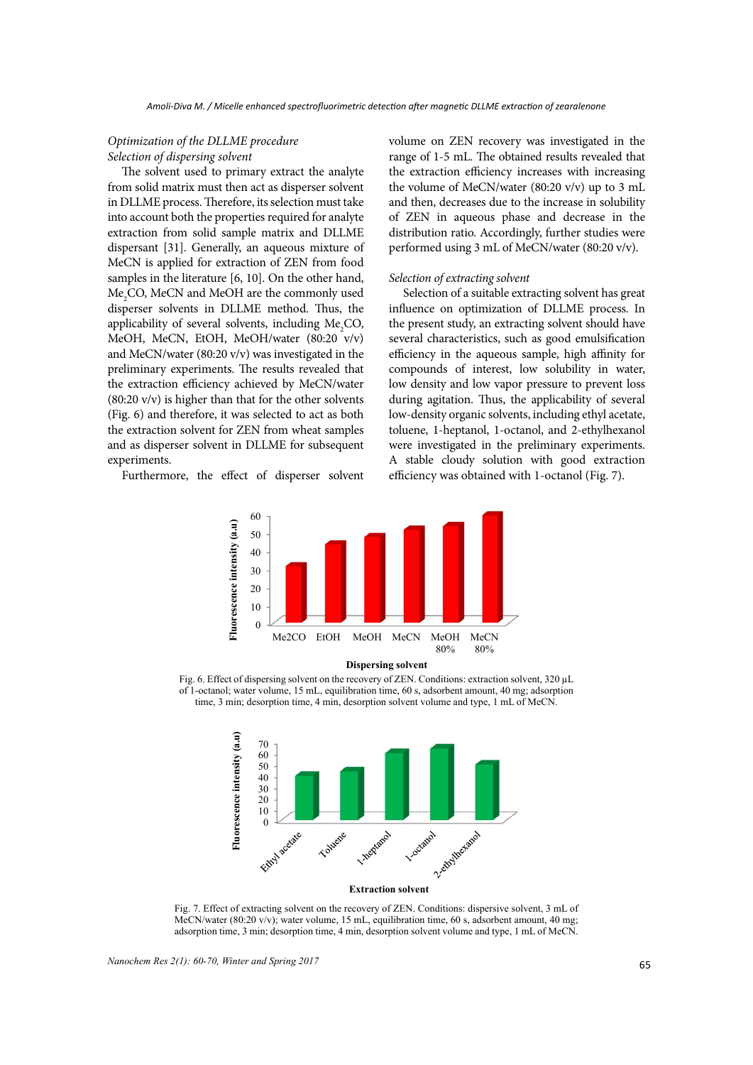# *Optimization of the DLLME procedure Selection of dispersing solvent*

The solvent used to primary extract the analyte from solid matrix must then act as disperser solvent in DLLME process. Therefore, its selection must take into account both the properties required for analyte extraction from solid sample matrix and DLLME dispersant [31]. Generally, an aqueous mixture of MeCN is applied for extraction of ZEN from food samples in the literature [6, 10]. On the other hand, Me<sub>2</sub>CO, MeCN and MeOH are the commonly used disperser solvents in DLLME method. Thus, the applicability of several solvents, including  $Me<sub>2</sub>CO$ , MeOH, MeCN, EtOH, MeOH/water (80:20 v/v) and MeCN/water (80:20 v/v) was investigated in the preliminary experiments. The results revealed that the extraction efficiency achieved by MeCN/water (80:20 v/v) is higher than that for the other solvents (Fig. 6) and therefore, it was selected to act as both the extraction solvent for ZEN from wheat samples and as disperser solvent in DLLME for subsequent experiments.

Furthermore, the effect of disperser solvent

volume on ZEN recovery was investigated in the range of 1-5 mL. The obtained results revealed that the extraction efficiency increases with increasing the volume of MeCN/water (80:20 v/v) up to 3 mL and then, decreases due to the increase in solubility of ZEN in aqueous phase and decrease in the distribution ratio. Accordingly, further studies were performed using 3 mL of MeCN/water (80:20 v/v).

#### *Selection of extracting solvent*

Selection of a suitable extracting solvent has great influence on optimization of DLLME process. In the present study, an extracting solvent should have several characteristics, such as good emulsification efficiency in the aqueous sample, high affinity for compounds of interest, low solubility in water, low density and low vapor pressure to prevent loss during agitation. Thus, the applicability of several low-density organic solvents, including ethyl acetate, toluene, 1-heptanol, 1-octanol, and 2-ethylhexanol were investigated in the preliminary experiments. A stable cloudy solution with good extraction efficiency was obtained with 1-octanol (Fig. 7).



**Dispersing solvent**

**Fig. 6**  time, 3 min; desorption time, 4 min, desorption solvent volume and type, 1 mL of MeCN. Fig. 6. Effect of dispersing solvent on the recovery of ZEN. Conditions: extraction solvent, 320 µL of 1-octanol; water volume, 15 mL, equilibration time, 60 s, adsorbent amount, 40 mg; adsorption



**Fig. 7**  adsorption time, 3 min; desorption time, 4 min, desorption solvent volume and type, 1 mL of MeCN. Fig. 7. Effect of extracting solvent on the recovery of ZEN. Conditions: dispersive solvent, 3 mL of MeCN/water (80:20 v/v); water volume, 15 mL, equilibration time, 60 s, adsorbent amount, 40 mg;

65 *Nanochem Res 2(1): 60-70, Winter and Spring 2017*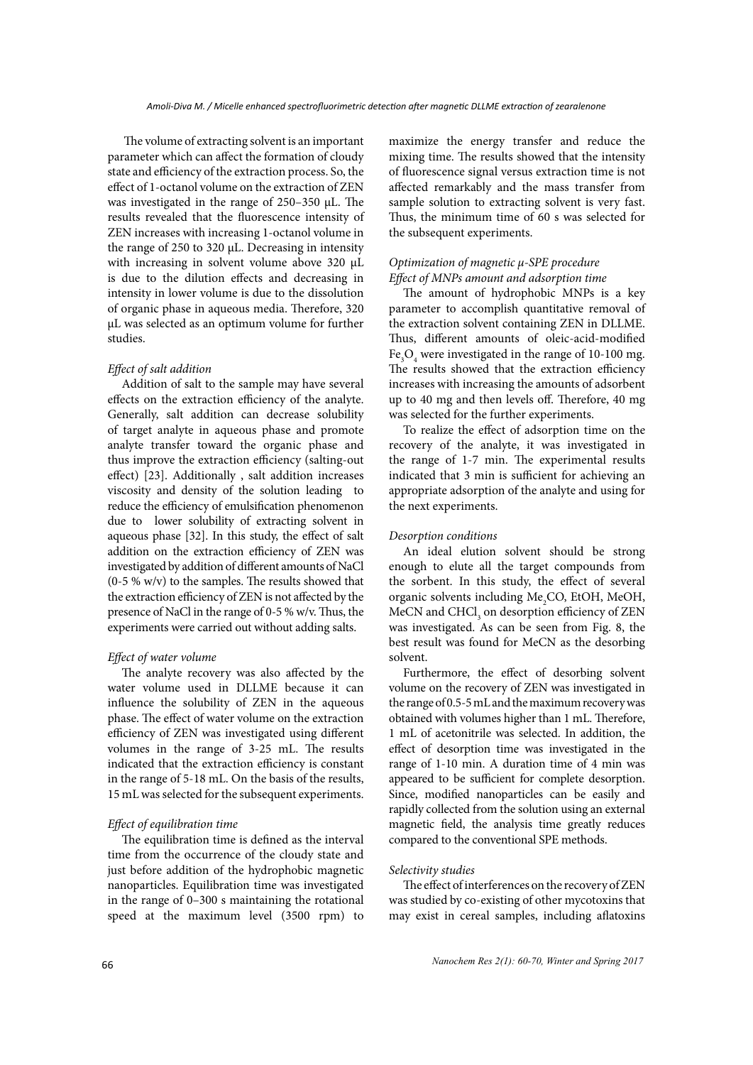The volume of extracting solvent is an important parameter which can affect the formation of cloudy state and efficiency of the extraction process. So, the effect of 1-octanol volume on the extraction of ZEN was investigated in the range of 250–350 μL. The results revealed that the fluorescence intensity of ZEN increases with increasing 1-octanol volume in the range of 250 to 320 μL. Decreasing in intensity with increasing in solvent volume above 320 μL is due to the dilution effects and decreasing in intensity in lower volume is due to the dissolution of organic phase in aqueous media. Therefore, 320 μL was selected as an optimum volume for further studies.

### *Effect of salt addition*

Addition of salt to the sample may have several effects on the extraction efficiency of the analyte. Generally, salt addition can decrease solubility of target analyte in aqueous phase and promote analyte transfer toward the organic phase and thus improve the extraction efficiency (salting-out effect) [23]. Additionally , salt addition increases viscosity and density of the solution leading to reduce the efficiency of emulsification phenomenon due to lower solubility of extracting solvent in aqueous phase [32]. In this study, the effect of salt addition on the extraction efficiency of ZEN was investigated by addition of different amounts of NaCl (0-5 % w/v) to the samples. The results showed that the extraction efficiency of ZEN is not affected by the presence of NaCl in the range of 0-5 % w/v. Thus, the experiments were carried out without adding salts.

# *Effect of water volume*

The analyte recovery was also affected by the water volume used in DLLME because it can influence the solubility of ZEN in the aqueous phase. The effect of water volume on the extraction efficiency of ZEN was investigated using different volumes in the range of 3-25 mL. The results indicated that the extraction efficiency is constant in the range of 5-18 mL. On the basis of the results, 15 mL was selected for the subsequent experiments.

## *Effect of equilibration time*

The equilibration time is defined as the interval time from the occurrence of the cloudy state and just before addition of the hydrophobic magnetic nanoparticles. Equilibration time was investigated in the range of 0–300 s maintaining the rotational speed at the maximum level (3500 rpm) to

maximize the energy transfer and reduce the mixing time. The results showed that the intensity of fluorescence signal versus extraction time is not affected remarkably and the mass transfer from sample solution to extracting solvent is very fast. Thus, the minimum time of 60 s was selected for the subsequent experiments.

# *Optimization of magnetic μ-SPE procedure Effect of MNPs amount and adsorption time*

The amount of hydrophobic MNPs is a key parameter to accomplish quantitative removal of the extraction solvent containing ZEN in DLLME. Thus, different amounts of oleic-acid-modified  $\text{Fe}_{3}\text{O}_{4}$  were investigated in the range of 10-100 mg. The results showed that the extraction efficiency increases with increasing the amounts of adsorbent up to 40 mg and then levels off. Therefore, 40 mg was selected for the further experiments.

To realize the effect of adsorption time on the recovery of the analyte, it was investigated in the range of 1-7 min. The experimental results indicated that 3 min is sufficient for achieving an appropriate adsorption of the analyte and using for the next experiments.

### *Desorption conditions*

An ideal elution solvent should be strong enough to elute all the target compounds from the sorbent. In this study, the effect of several organic solvents including Me<sub>2</sub>CO, EtOH, MeOH, MeCN and  $\mathrm{CHCl}_3$  on desorption efficiency of ZEN was investigated. As can be seen from Fig. 8, the best result was found for MeCN as the desorbing solvent.

Furthermore, the effect of desorbing solvent volume on the recovery of ZEN was investigated in the range of 0.5-5 mL and the maximum recovery was obtained with volumes higher than 1 mL. Therefore, 1 mL of acetonitrile was selected. In addition, the effect of desorption time was investigated in the range of 1-10 min. A duration time of 4 min was appeared to be sufficient for complete desorption. Since, modified nanoparticles can be easily and rapidly collected from the solution using an external magnetic field, the analysis time greatly reduces compared to the conventional SPE methods.

### *Selectivity studies*

The effect of interferences on the recovery of ZEN was studied by co-existing of other mycotoxins that may exist in cereal samples, including aflatoxins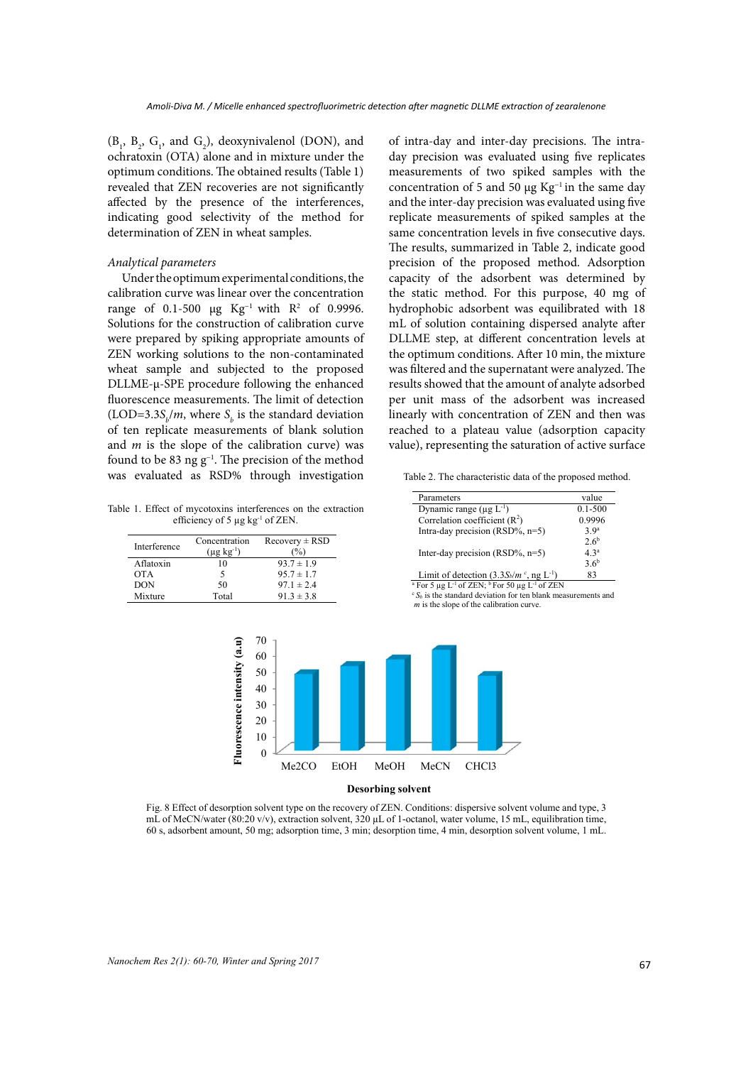$(B_1, B_2, G_1, \text{ and } G_2)$ , deoxynivalenol (DON), and ochratoxin (OTA) alone and in mixture under the optimum conditions. The obtained results (Table 1) revealed that ZEN recoveries are not significantly affected by the presence of the interferences, indicating good selectivity of the method for determination of ZEN in wheat samples.

### *Analytical parameters*

Under the optimum experimental conditions, the calibration curve was linear over the concentration range of 0.1-500  $\mu$ g Kg<sup>-1</sup> with R<sup>2</sup> of 0.9996. Solutions for the construction of calibration curve were prepared by spiking appropriate amounts of ZEN working solutions to the non-contaminated wheat sample and subjected to the proposed DLLME-µ-SPE procedure following the enhanced fluorescence measurements. The limit of detection (LOD=3.3 $S_b/m$ , where  $S_b$  is the standard deviation of ten replicate measurements of blank solution and *m* is the slope of the calibration curve) was found to be 83 ng g−1. The precision of the method was evaluated as RSD% through investigation

of intra-day and inter-day precisions. The intraday precision was evaluated using five replicates measurements of two spiked samples with the concentration of 5 and 50 μg Kg<sup>-1</sup> in the same day and the inter-day precision was evaluated using five replicate measurements of spiked samples at the same concentration levels in five consecutive days. The results, summarized in Table 2, indicate good precision of the proposed method. Adsorption capacity of the adsorbent was determined by the static method. For this purpose, 40 mg of hydrophobic adsorbent was equilibrated with 18 mL of solution containing dispersed analyte after DLLME step, at different concentration levels at the optimum conditions. After 10 min, the mixture was filtered and the supernatant were analyzed. The results showed that the amount of analyte adsorbed per unit mass of the adsorbent was increased linearly with concentration of ZEN and then was reached to a plateau value (adsorption capacity value), representing the saturation of active surface

Table 1. Effect of mycotoxins interferences on the extraction efficiency of 5  $\mu$ g kg<sup>-1</sup> of ZEN.

| Interference | Concentration<br>$(\mu$ g kg <sup>-1</sup> ) | $Recovery \pm RSD$ |
|--------------|----------------------------------------------|--------------------|
| Aflatoxin    | 10                                           | $93.7 \pm 1.9$     |
| <b>OTA</b>   | ╮                                            | $95.7 \pm 1.7$     |
| DON          | 50                                           | $97.1 \pm 2.4$     |
| Mixture      | Total                                        | $91.3 \pm 3.8$     |

Table 2. The characteristic data of the proposed method.

| Parameters                                             | value            |
|--------------------------------------------------------|------------------|
| Dynamic range ( $\mu$ g L <sup>-1</sup> )              | $0.1 - 500$      |
| Correlation coefficient $(R2)$                         | 0.9996           |
| Intra-day precision $(RSD\%, n=5)$                     | 3.9 <sup>a</sup> |
|                                                        | 2.6 <sup>b</sup> |
| Inter-day precision $(RSD\%, n=5)$                     | 43 <sup>a</sup>  |
|                                                        | $3.6^{b}$        |
| Limit of detection $(3.3S_b/m^c,$ ng L <sup>-1</sup> ) | 83               |

<sup>a</sup> For 5 µg L<sup>-1</sup> of ZEN; <sup>b</sup> For 50 µg L<sup>-1</sup> of ZEN c *S<sub>b</sub>* is the standard deviation for ten blank measurements and *m* is the slope of the calibration curve.



**Fig. 8** 60 s, adsorbent amount, 50 mg; adsorption time, 3 min; desorption time, 4 min, desorption solvent volume, 1 mL. Fig. 8 Effect of desorption solvent type on the recovery of ZEN. Conditions: dispersive solvent volume and type, 3 mL of MeCN/water (80:20 v/v), extraction solvent, 320 µL of 1-octanol, water volume, 15 mL, equilibration time,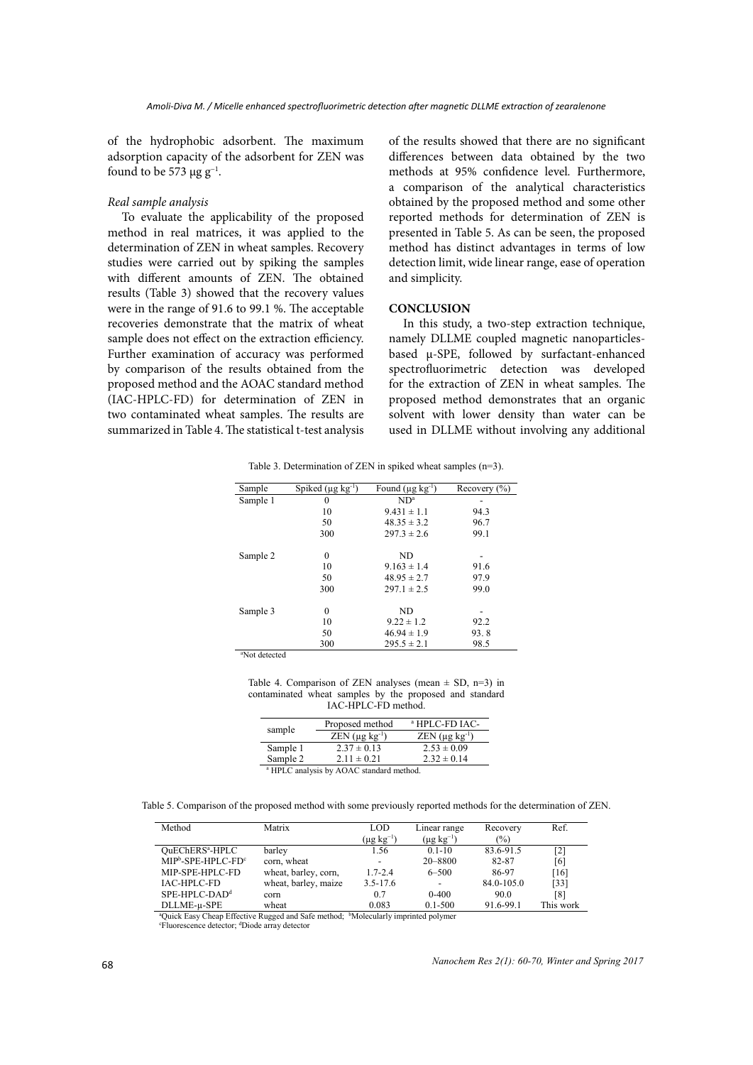of the hydrophobic adsorbent. The maximum adsorption capacity of the adsorbent for ZEN was found to be 573  $\mu$ g g<sup>-1</sup>.

#### *Real sample analysis*

To evaluate the applicability of the proposed method in real matrices, it was applied to the determination of ZEN in wheat samples. Recovery studies were carried out by spiking the samples with different amounts of ZEN. The obtained results (Table 3) showed that the recovery values were in the range of 91.6 to 99.1 %. The acceptable recoveries demonstrate that the matrix of wheat sample does not effect on the extraction efficiency. Further examination of accuracy was performed by comparison of the results obtained from the proposed method and the AOAC standard method (IAC-HPLC-FD) for determination of ZEN in two contaminated wheat samples. The results are summarized in Table 4. The statistical t-test analysis

of the results showed that there are no significant differences between data obtained by the two methods at 95% confidence level*.* Furthermore, a comparison of the analytical characteristics obtained by the proposed method and some other reported methods for determination of ZEN is presented in Table 5. As can be seen, the proposed method has distinct advantages in terms of low detection limit, wide linear range, ease of operation and simplicity.

### **CONCLUSION**

In this study, a two-step extraction technique, namely DLLME coupled magnetic nanoparticlesbased µ-SPE, followed by surfactant-enhanced spectrofluorimetric detection was developed for the extraction of ZEN in wheat samples. The proposed method demonstrates that an organic solvent with lower density than water can be used in DLLME without involving any additional

Table 3. Determination of ZEN in spiked wheat samples  $(n=3)$ .

| Sample                    | Spiked $(\mu g \text{ kg}^{-1})$ | Found $(\mu g \, kg^{-1})$ | Recovery $(\% )$         |
|---------------------------|----------------------------------|----------------------------|--------------------------|
| Sample 1                  | $\mathbf{0}$                     | ND <sup>a</sup>            |                          |
|                           | 10                               | $9.431 \pm 1.1$            | 94.3                     |
|                           | 50                               | $48.35 \pm 3.2$            | 96.7                     |
|                           | 300                              | $297.3 \pm 2.6$            | 99.1                     |
| Sample 2                  | $\boldsymbol{0}$                 | <b>ND</b>                  | $\overline{\phantom{a}}$ |
|                           | 10                               | $9.163 \pm 1.4$            | 91.6                     |
|                           | 50                               | $48.95 \pm 2.7$            | 97.9                     |
|                           | 300                              | $297.1 \pm 2.5$            | 99.0                     |
| Sample 3                  | $\boldsymbol{0}$                 | <b>ND</b>                  |                          |
|                           | 10                               | $9.22 \pm 1.2$             | 92.2                     |
|                           | 50                               | $46.94 \pm 1.9$            | 93.8                     |
|                           | 300                              | $295.5 \pm 2.1$            | 98.5                     |
| <sup>a</sup> Not detected |                                  |                            |                          |

contaminated wheat samples by the proposed and standard  $\overline{I}$ Table 4. Comparison of ZEN analyses (mean  $\pm$  SD, n=3) in IAC-HPLC-FD method.

| sample   | Proposed method       | <sup>a</sup> HPLC-FD IAC-          |  |
|----------|-----------------------|------------------------------------|--|
|          | $ZEN$ (µg $kg^{-1}$ ) | $ZEN$ ( $\mu$ g kg <sup>-1</sup> ) |  |
| Sample 1 | $2.37 \pm 0.13$       | $2.53 \pm 0.09$                    |  |
| Sample 2 | $2.11 \pm 0.21$       | $2.32 \pm 0.14$                    |  |

<sup>a</sup> HPLC analysis by AOAC standard method.

Comparison of the proposed method with some previously reported methods for the determination of ZEN. Table 5. Comparison of the proposed method with some previously reported methods for the determination of ZEN.

| Method                                                                                                     | Matrix               | <b>LOD</b>           | Linear range         | Recovery   | Ref.      |
|------------------------------------------------------------------------------------------------------------|----------------------|----------------------|----------------------|------------|-----------|
|                                                                                                            |                      | $(\mu g \, kg^{-1})$ | $(\mu g \; kg^{-1})$ | $(\%)$     |           |
| OuEChERS <sup>a</sup> -HPLC                                                                                | barley               | 1.56                 | $0.1 - 10$           | 83.6-91.5  | [2]       |
| $MIPb$ -SPE-HPLC-FD $c$                                                                                    | corn, wheat          |                      | 20 - 8800            | 82-87      | [6]       |
| MIP-SPE-HPLC-FD                                                                                            | wheat, barley, corn, | $1.7 - 2.4$          | $6 - 500$            | 86-97      | [16]      |
| IAC-HPLC-FD                                                                                                | wheat, barley, maize | $3.5 - 17.6$         |                      | 84.0-105.0 | [33]      |
| $SPE-HPLC-DADd$                                                                                            | corn                 | 0.7                  | $0 - 400$            | 90.0       | [8]       |
| DLLME-u-SPE                                                                                                | wheat                | 0.083                | $0.1 - 500$          | 91.6-99.1  | This work |
| <sup>a</sup> Quick Easy Cheap Effective Rugged and Safe method; <sup>b</sup> Molecularly imprinted polymer |                      |                      |                      |            |           |

Fluorescence detector; dDiode array detector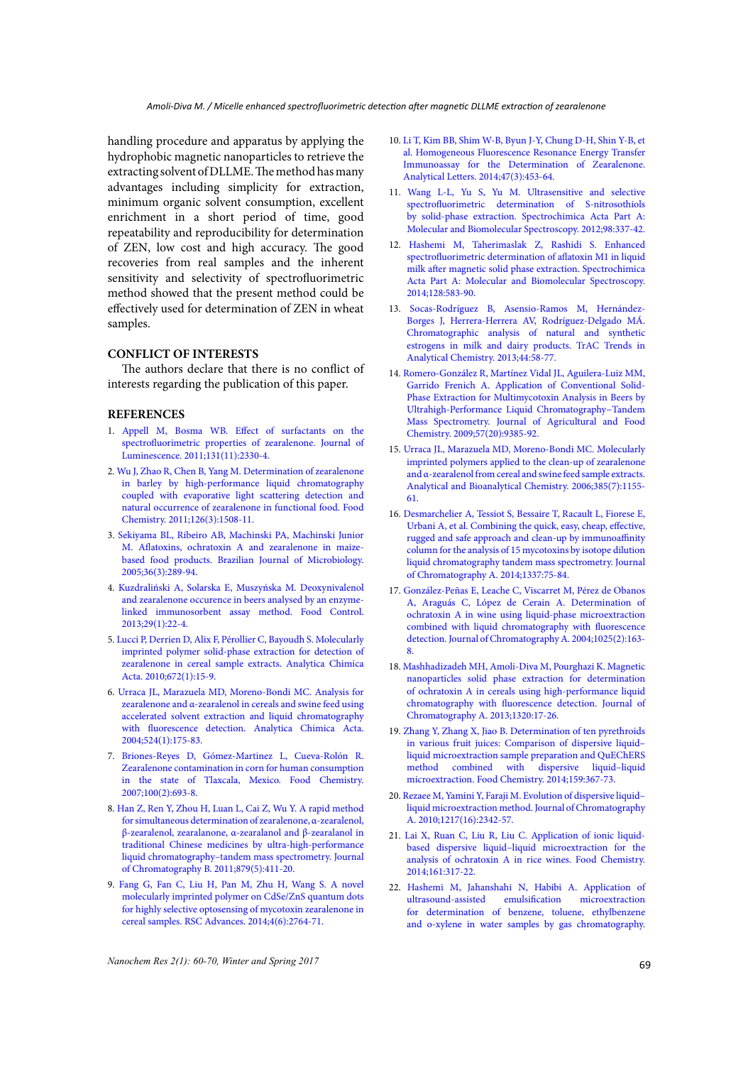handling procedure and apparatus by applying the hydrophobic magnetic nanoparticles to retrieve the extracting solvent of DLLME. The method has many advantages including simplicity for extraction, minimum organic solvent consumption, excellent enrichment in a short period of time, good repeatability and reproducibility for determination of ZEN, low cost and high accuracy. The good recoveries from real samples and the inherent sensitivity and selectivity of spectrofluorimetric method showed that the present method could be effectively used for determination of ZEN in wheat samples.

# **CONFLICT OF INTERESTS**

The authors declare that there is no conflict of interests regarding the publication of this paper.

### **REFERENCES**

- 1. [Appell M, Bosma WB. Effect of surfactants on the](http://www.sciencedirect.com/science/article/pii/S0022231311003346)  [spectrofluorimetric properties of zearalenone. Journal of](http://www.sciencedirect.com/science/article/pii/S0022231311003346)  [Luminescence. 2011;131\(11\):2330-4.](http://www.sciencedirect.com/science/article/pii/S0022231311003346)
- 2. [Wu J, Zhao R, Chen B, Yang M. Determination of zearalenone](http://www.sciencedirect.com/science/article/pii/S0308814610015876)  [in barley by high-performance liquid chromatography](http://www.sciencedirect.com/science/article/pii/S0308814610015876)  [coupled with evaporative light scattering detection and](http://www.sciencedirect.com/science/article/pii/S0308814610015876)  [natural occurrence of zearalenone in functional food. Food](http://www.sciencedirect.com/science/article/pii/S0308814610015876)  [Chemistry. 2011;126\(3\):1508-11.](http://www.sciencedirect.com/science/article/pii/S0308814610015876)
- 3. [Sekiyama BL, Ribeiro AB, Machinski PA, Machinski Junior](http://www.scielo.br/scielo.php?pid=S1517-83822005000300016&script=sci_arttext)  [M. Aflatoxins, ochratoxin A and zearalenone in maize](http://www.scielo.br/scielo.php?pid=S1517-83822005000300016&script=sci_arttext)[based food products. Brazilian Journal of Microbiology.](http://www.scielo.br/scielo.php?pid=S1517-83822005000300016&script=sci_arttext)  [2005;36\(3\):289-94.](http://www.scielo.br/scielo.php?pid=S1517-83822005000300016&script=sci_arttext)
- 4. [Kuzdraliński A, Solarska E, Muszyńska M. Deoxynivalenol](http://www.sciencedirect.com/science/article/pii/S0956713512003234)  [and zearalenone occurence in beers analysed by an enzyme](http://www.sciencedirect.com/science/article/pii/S0956713512003234)[linked immunosorbent assay method. Food Control.](http://www.sciencedirect.com/science/article/pii/S0956713512003234)  [2013;29\(1\):22-4.](http://www.sciencedirect.com/science/article/pii/S0956713512003234)
- 5. [Lucci P, Derrien D, Alix F, Pérollier C, Bayoudh S. Molecularly](http://www.sciencedirect.com/science/article/pii/S000326701000293X)  [imprinted polymer solid-phase extraction for detection of](http://www.sciencedirect.com/science/article/pii/S000326701000293X)  [zearalenone in cereal sample extracts. Analytica Chimica](http://www.sciencedirect.com/science/article/pii/S000326701000293X)  [Acta. 2010;672\(1\):15-9.](http://www.sciencedirect.com/science/article/pii/S000326701000293X)
- 6. [Urraca JL, Marazuela MD, Moreno-Bondi MC. Analysis for](http://www.sciencedirect.com/science/article/pii/S0003267004004271)  [zearalenone and α-zearalenol in cereals and swine feed using](http://www.sciencedirect.com/science/article/pii/S0003267004004271)  [accelerated solvent extraction and liquid chromatography](http://www.sciencedirect.com/science/article/pii/S0003267004004271)  [with fluorescence detection. Analytica Chimica Acta.](http://www.sciencedirect.com/science/article/pii/S0003267004004271)  [2004;524\(1\):175-83.](http://www.sciencedirect.com/science/article/pii/S0003267004004271)
- 7. [Briones-Reyes D, Gómez-Martinez L, Cueva-Rolón R.](http://www.sciencedirect.com/science/article/pii/S0308814605009295)  [Zearalenone contamination in corn for human consumption](http://www.sciencedirect.com/science/article/pii/S0308814605009295)  [in the state of Tlaxcala, Mexico. Food Chemistry.](http://www.sciencedirect.com/science/article/pii/S0308814605009295)  [2007;100\(2\):693-8.](http://www.sciencedirect.com/science/article/pii/S0308814605009295)
- 8. [Han Z, Ren Y, Zhou H, Luan L, Cai Z, Wu Y. A rapid method](http://www.sciencedirect.com/science/article/pii/S1570023210007841)  [for simultaneous determination of zearalenone, α-zearalenol,](http://www.sciencedirect.com/science/article/pii/S1570023210007841)  [β-zearalenol, zearalanone, α-zearalanol and β-zearalanol in](http://www.sciencedirect.com/science/article/pii/S1570023210007841)  [traditional Chinese medicines by ultra-high-performance](http://www.sciencedirect.com/science/article/pii/S1570023210007841)  [liquid chromatography–tandem mass spectrometry. Journal](http://www.sciencedirect.com/science/article/pii/S1570023210007841)  [of Chromatography B. 2011;879\(5\):411-20.](http://www.sciencedirect.com/science/article/pii/S1570023210007841)
- 9. [Fang G, Fan C, Liu H, Pan M, Zhu H, Wang S. A novel](http://dx.doi.org/10.1039/C3RA45172K)  [molecularly imprinted polymer on CdSe/ZnS quantum dots](http://dx.doi.org/10.1039/C3RA45172K)  [for highly selective optosensing of mycotoxin zearalenone in](http://dx.doi.org/10.1039/C3RA45172K)  [cereal samples. RSC Advances. 2014;4\(6\):2764-71.](http://dx.doi.org/10.1039/C3RA45172K)
- 10. [Li T, Kim BB, Shim W-B, Byun J-Y, Chung D-H, Shin Y-B, et](http://dx.doi.org/10.1080/00032719.2013.843186) [al. Homogeneous Fluorescence Resonance Energy Transfer](http://dx.doi.org/10.1080/00032719.2013.843186) [Immunoassay for the Determination of Zearalenone.](http://dx.doi.org/10.1080/00032719.2013.843186) [Analytical Letters. 2014;47\(3\):453-64.](http://dx.doi.org/10.1080/00032719.2013.843186)
- 11. [Wang L-L, Yu S, Yu M. Ultrasensitive and selective](http://www.sciencedirect.com/science/article/pii/S1386142512008025) [spectrofluorimetric determination of S-nitrosothiols](http://www.sciencedirect.com/science/article/pii/S1386142512008025) [by solid-phase extraction. Spectrochimica Acta Part A:](http://www.sciencedirect.com/science/article/pii/S1386142512008025) [Molecular and Biomolecular Spectroscopy. 2012;98:337-42.](http://www.sciencedirect.com/science/article/pii/S1386142512008025)
- 12. [Hashemi M, Taherimaslak Z, Rashidi S. Enhanced](http://www.sciencedirect.com/science/article/pii/S1386142514002959) [spectrofluorimetric determination of aflatoxin M1 in liquid](http://www.sciencedirect.com/science/article/pii/S1386142514002959) [milk after magnetic solid phase extraction. Spectrochimica](http://www.sciencedirect.com/science/article/pii/S1386142514002959) [Acta Part A: Molecular and Biomolecular Spectroscopy.](http://www.sciencedirect.com/science/article/pii/S1386142514002959) [2014;128:583-90.](http://www.sciencedirect.com/science/article/pii/S1386142514002959)
- 13. [Socas-Rodríguez B, Asensio-Ramos M, Hernández-](http://www.sciencedirect.com/science/article/pii/S0165993612003664)[Borges J, Herrera-Herrera AV, Rodríguez-Delgado MÁ.](http://www.sciencedirect.com/science/article/pii/S0165993612003664) [Chromatographic analysis of natural and synthetic](http://www.sciencedirect.com/science/article/pii/S0165993612003664) [estrogens in milk and dairy products. TrAC Trends in](http://www.sciencedirect.com/science/article/pii/S0165993612003664) [Analytical Chemistry. 2013;44:58-77.](http://www.sciencedirect.com/science/article/pii/S0165993612003664)
- 14. [Romero-González R, Martínez Vidal JL, Aguilera-Luiz MM,](http://dx.doi.org/10.1021/jf903154a) [Garrido Frenich A. Application of Conventional Solid-](http://dx.doi.org/10.1021/jf903154a)[Phase Extraction for Multimycotoxin Analysis in Beers by](http://dx.doi.org/10.1021/jf903154a) [Ultrahigh-Performance Liquid Chromatography−Tandem](http://dx.doi.org/10.1021/jf903154a) [Mass Spectrometry. Journal of Agricultural and Food](http://dx.doi.org/10.1021/jf903154a) [Chemistry. 2009;57\(20\):9385-92.](http://dx.doi.org/10.1021/jf903154a)
- 15. [Urraca JL, Marazuela MD, Moreno-Bondi MC. Molecularly](https://doi.org/10.1007/s00216-006-0343-3) [imprinted polymers applied to the clean-up of zearalenone](https://doi.org/10.1007/s00216-006-0343-3) [and α-zearalenol from cereal and swine feed sample extracts.](https://doi.org/10.1007/s00216-006-0343-3) [Analytical and Bioanalytical Chemistry. 2006;385\(7\):1155-](https://doi.org/10.1007/s00216-006-0343-3) [61.](https://doi.org/10.1007/s00216-006-0343-3)
- 16. [Desmarchelier A, Tessiot S, Bessaire T, Racault L, Fiorese E,](http://www.sciencedirect.com/science/article/pii/S0021967314002556) [Urbani A, et al. Combining the quick, easy, cheap, effective,](http://www.sciencedirect.com/science/article/pii/S0021967314002556) [rugged and safe approach and clean-up by immunoaffinity](http://www.sciencedirect.com/science/article/pii/S0021967314002556) [column for the analysis of 15 mycotoxins by isotope dilution](http://www.sciencedirect.com/science/article/pii/S0021967314002556) [liquid chromatography tandem mass spectrometry. Journal](http://www.sciencedirect.com/science/article/pii/S0021967314002556) [of Chromatography A. 2014;1337:75-84.](http://www.sciencedirect.com/science/article/pii/S0021967314002556)
- 17. [González-Peñas E, Leache C, Viscarret M, Pérez de Obanos](http://www.sciencedirect.com/science/article/pii/S0021967303020107) [A, Araguás C, López de Cerain A. Determination of](http://www.sciencedirect.com/science/article/pii/S0021967303020107) [ochratoxin A in wine using liquid-phase microextraction](http://www.sciencedirect.com/science/article/pii/S0021967303020107) [combined with liquid chromatography with fluorescence](http://www.sciencedirect.com/science/article/pii/S0021967303020107) [detection. Journal of Chromatography A. 2004;1025\(2\):163-](http://www.sciencedirect.com/science/article/pii/S0021967303020107) [8.](http://www.sciencedirect.com/science/article/pii/S0021967303020107)
- 18. [Mashhadizadeh MH, Amoli-Diva M, Pourghazi K. Magnetic](http://www.sciencedirect.com/science/article/pii/S0021967313016816) [nanoparticles solid phase extraction for determination](http://www.sciencedirect.com/science/article/pii/S0021967313016816) [of ochratoxin A in cereals using high-performance liquid](http://www.sciencedirect.com/science/article/pii/S0021967313016816) [chromatography with fluorescence detection. Journal of](http://www.sciencedirect.com/science/article/pii/S0021967313016816) [Chromatography A. 2013;1320:17-26.](http://www.sciencedirect.com/science/article/pii/S0021967313016816)
- 19. [Zhang Y, Zhang X, Jiao B. Determination of ten pyrethroids](http://www.sciencedirect.com/science/article/pii/S0308814614004191) [in various fruit juices: Comparison of dispersive liquid–](http://www.sciencedirect.com/science/article/pii/S0308814614004191) [liquid microextraction sample preparation and QuEChERS](http://www.sciencedirect.com/science/article/pii/S0308814614004191) [method combined with dispersive liquid–liquid](http://www.sciencedirect.com/science/article/pii/S0308814614004191) [microextraction. Food Chemistry. 2014;159:367-73.](http://www.sciencedirect.com/science/article/pii/S0308814614004191)
- 20. [Rezaee M, Yamini Y, Faraji M. Evolution of dispersive liquid–](http://www.sciencedirect.com/science/article/pii/S0021967309017750) [liquid microextraction method. Journal of Chromatography](http://www.sciencedirect.com/science/article/pii/S0021967309017750) [A. 2010;1217\(16\):2342-57.](http://www.sciencedirect.com/science/article/pii/S0021967309017750)
- 21. [Lai X, Ruan C, Liu R, Liu C. Application of ionic liquid](http://www.sciencedirect.com/science/article/pii/S0308814614005792)[based dispersive liquid–liquid microextraction for the](http://www.sciencedirect.com/science/article/pii/S0308814614005792) [analysis of ochratoxin A in rice wines. Food Chemistry.](http://www.sciencedirect.com/science/article/pii/S0308814614005792) [2014;161:317-22.](http://www.sciencedirect.com/science/article/pii/S0308814614005792)
- 22. [Hashemi M, Jahanshahi N, Habibi A. Application of](http://www.sciencedirect.com/science/article/pii/S001191641101037X) [ultrasound-assisted emulsification microextraction](http://www.sciencedirect.com/science/article/pii/S001191641101037X) [for determination of benzene, toluene, ethylbenzene](http://www.sciencedirect.com/science/article/pii/S001191641101037X) [and o-xylene in water samples by gas chromatography.](http://www.sciencedirect.com/science/article/pii/S001191641101037X)